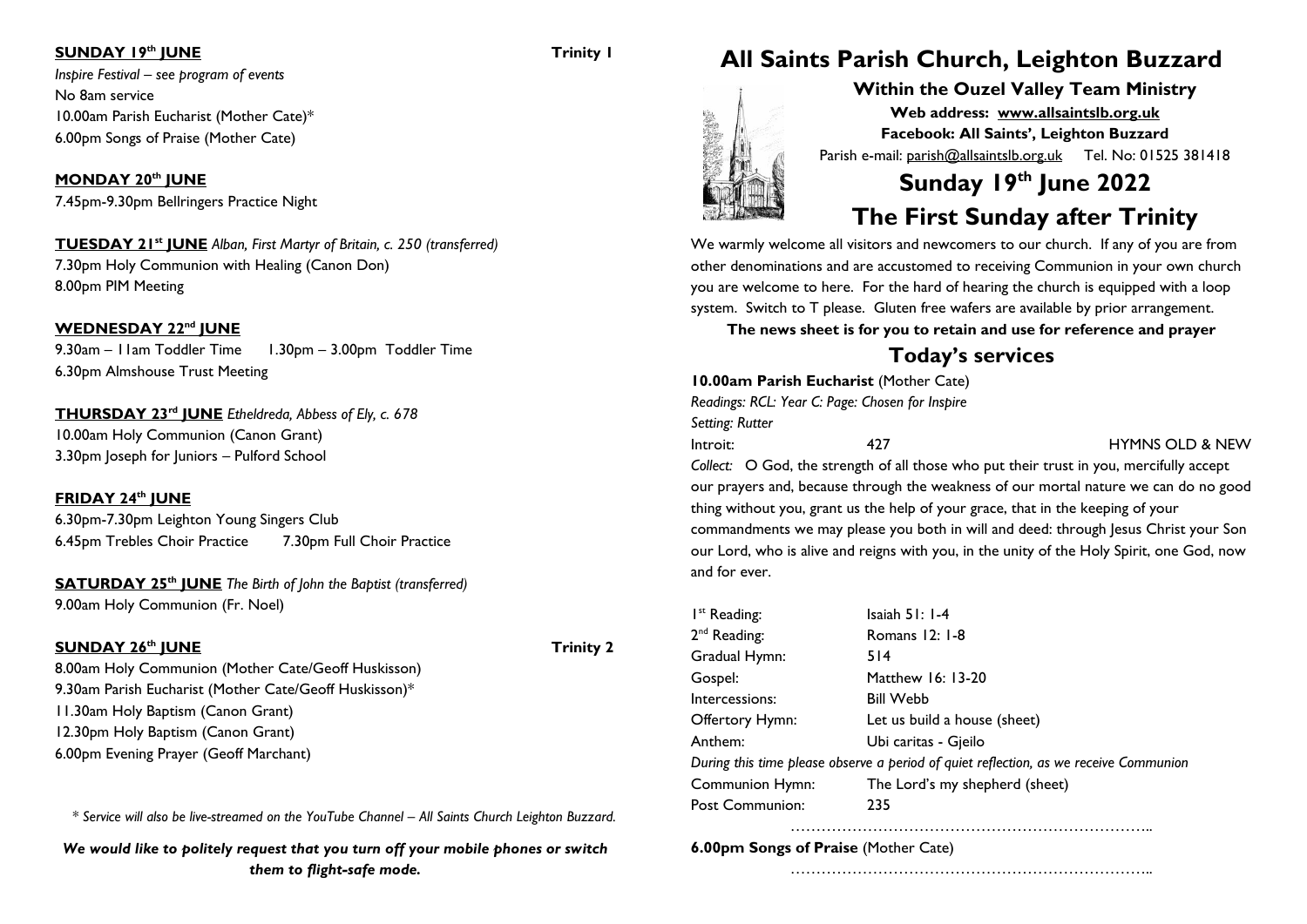### **SUNDAY 19<sup>th</sup> JUNE Trinity 1**

*Inspire Festival – see program of events* No 8am service 10.00am Parish Eucharist (Mother Cate)\* 6.00pm Songs of Praise (Mother Cate)

**MONDAY 20th JUNE** 7.45pm-9.30pm Bellringers Practice Night

**TUESDAY 21st JUNE** *Alban, First Martyr of Britain, c. 250 (transferred)* 7.30pm Holy Communion with Healing (Canon Don) 8.00pm PIM Meeting

### **WEDNESDAY 22nd JUNE**

9.30am – I Iam Toddler Time 1.30pm – 3.00pm Toddler Time 6.30pm Almshouse Trust Meeting

**THURSDAY 23rd JUNE** *Etheldreda, Abbess of Ely, c. 678* 10.00am Holy Communion (Canon Grant) 3.30pm Joseph for Juniors – Pulford School

### **FRIDAY 24th JUNE**

6.30pm-7.30pm Leighton Young Singers Club 6.45pm Trebles Choir Practice 7.30pm Full Choir Practice

**SATURDAY 25th JUNE** *The Birth of John the Baptist (transferred)* 9.00am Holy Communion (Fr. Noel)

### **SUNDAY 26<sup>th</sup> IUNE Trinity 2**

8.00am Holy Communion (Mother Cate/Geoff Huskisson) 9.30am Parish Eucharist (Mother Cate/Geoff Huskisson)\* 11.30am Holy Baptism (Canon Grant) 12.30pm Holy Baptism (Canon Grant) 6.00pm Evening Prayer (Geoff Marchant)

*\* Service will also be live-streamed on the YouTube Channel – All Saints Church Leighton Buzzard.*

*We would like to politely request that you turn off your mobile phones or switch them to flight-safe mode.*

## **All Saints Parish Church, Leighton Buzzard**

**Within the Ouzel Valley Team Ministry Web address: [www.allsaintslb.org.uk](http://www.allsaintslb.org.uk/) Facebook: All Saints', Leighton Buzzard** Parish e-mail: parish@allsaintslb.org.uk Tel. No: 01525 381418

# **Sunday 19 th June 2022**

### **The First Sunday after Trinity**

We warmly welcome all visitors and newcomers to our church. If any of you are from other denominations and are accustomed to receiving Communion in your own church you are welcome to here. For the hard of hearing the church is equipped with a loop system. Switch to T please. Gluten free wafers are available by prior arrangement.

**The news sheet is for you to retain and use for reference and prayer**

### **Today's services**

|                 | <b>10.00am Parish Eucharist (Mother Cate)</b>   |                            |
|-----------------|-------------------------------------------------|----------------------------|
|                 | Readings: RCL: Year C: Page: Chosen for Inspire |                            |
| Setting: Rutter |                                                 |                            |
| Introit:        | 477                                             | <b>HYMNS OLD &amp; NEW</b> |

*Collect:* O God, the strength of all those who put their trust in you, mercifully accept our prayers and, because through the weakness of our mortal nature we can do no good thing without you, grant us the help of your grace, that in the keeping of your commandments we may please you both in will and deed: through Jesus Christ your Son our Lord, who is alive and reigns with you, in the unity of the Holy Spirit, one God, now and for ever.

| I <sup>st</sup> Reading: | Isaiah $51:1-4$                                                                       |
|--------------------------|---------------------------------------------------------------------------------------|
| 2 <sup>nd</sup> Reading: | Romans 12: 1-8                                                                        |
| Gradual Hymn:            | 514                                                                                   |
| Gospel:                  | Matthew 16: 13-20                                                                     |
| Intercessions:           | <b>Bill Webb</b>                                                                      |
| Offertory Hymn:          | Let us build a house (sheet)                                                          |
| Anthem:                  | Ubi caritas - Gjeilo                                                                  |
|                          | During this time please observe a period of quiet reflection, as we receive Communion |
| <b>Communion Hymn:</b>   | The Lord's my shepherd (sheet)                                                        |
| Post Communion:          | 235                                                                                   |

……………………………………………………………..

……………………………………………………………..

**6.00pm Songs of Praise** (Mother Cate)



医精神病